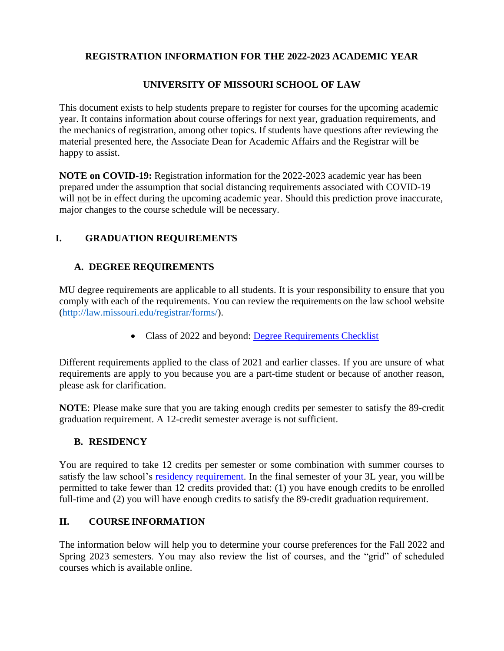## **REGISTRATION INFORMATION FOR THE 2022-2023 ACADEMIC YEAR**

## **UNIVERSITY OF MISSOURI SCHOOL OF LAW**

This document exists to help students prepare to register for courses for the upcoming academic year. It contains information about course offerings for next year, graduation requirements, and the mechanics of registration, among other topics. If students have questions after reviewing the material presented here, the Associate Dean for Academic Affairs and the Registrar will be happy to assist.

**NOTE on COVID-19:** Registration information for the 2022-2023 academic year has been prepared under the assumption that social distancing requirements associated with COVID-19 will not be in effect during the upcoming academic year. Should this prediction prove inaccurate, major changes to the course schedule will be necessary.

## **I. GRADUATION REQUIREMENTS**

## **A. DEGREE REQUIREMENTS**

MU degree requirements are applicable to all students. It is your responsibility to ensure that you comply with each of the requirements. You can review the requirements on the law school website [\(http://law.missouri.edu/registrar/forms/\)](http://law.missouri.edu/registrar/forms/).

• Class of 2022 and beyond: [Degree Requirements](https://law.missouri.edu/wp-content/uploads/2019/08/Degree-Requirement-Checklist-begin-Fall-2019.pdf) Checklist

Different requirements applied to the class of 2021 and earlier classes. If you are unsure of what requirements are apply to you because you are a part-time student or because of another reason, please ask for clarification.

**NOTE**: Please make sure that you are taking enough credits per semester to satisfy the 89-credit graduation requirement. A 12-credit semester average is not sufficient.

## **B. RESIDENCY**

You are required to take 12 credits per semester or some combination with summer courses to satisfy the law school's [residency requirement.](http://catalog.missouri.edu/academicpolicies/residencyl/) In the final semester of your 3L year, you will be permitted to take fewer than 12 credits provided that: (1) you have enough credits to be enrolled full-time and (2) you will have enough credits to satisfy the 89-credit graduation requirement.

## **II. COURSEINFORMATION**

The information below will help you to determine your course preferences for the Fall 2022 and Spring 2023 semesters. You may also review the list of courses, and the "grid" of scheduled courses which is available online.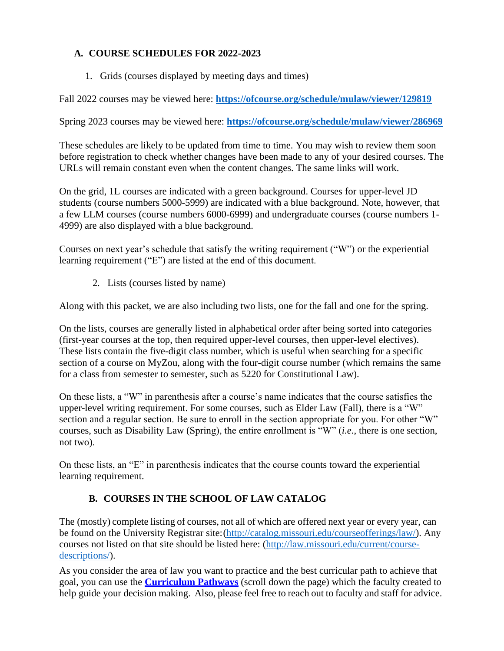## **A. COURSE SCHEDULES FOR 2022-2023**

1. Grids (courses displayed by meeting days and times)

Fall 2022 courses may be viewed here: **<https://ofcourse.org/schedule/mulaw/viewer/129819>**

Spring 2023 courses may be viewed here: **<https://ofcourse.org/schedule/mulaw/viewer/286969>**

These schedules are likely to be updated from time to time. You may wish to review them soon before registration to check whether changes have been made to any of your desired courses. The URLs will remain constant even when the content changes. The same links will work.

On the grid, 1L courses are indicated with a green background. Courses for upper-level JD students (course numbers 5000-5999) are indicated with a blue background. Note, however, that a few LLM courses (course numbers 6000-6999) and undergraduate courses (course numbers 1- 4999) are also displayed with a blue background.

Courses on next year's schedule that satisfy the writing requirement ("W") or the experiential learning requirement ("E") are listed at the end of this document.

2. Lists (courses listed by name)

Along with this packet, we are also including two lists, one for the fall and one for the spring.

On the lists, courses are generally listed in alphabetical order after being sorted into categories (first-year courses at the top, then required upper-level courses, then upper-level electives). These lists contain the five-digit class number, which is useful when searching for a specific section of a course on MyZou, along with the four-digit course number (which remains the same for a class from semester to semester, such as 5220 for Constitutional Law).

On these lists, a "W" in parenthesis after a course's name indicates that the course satisfies the upper-level writing requirement. For some courses, such as Elder Law (Fall), there is a "W" section and a regular section. Be sure to enroll in the section appropriate for you. For other "W" courses, such as Disability Law (Spring), the entire enrollment is "W" (*i.e.*, there is one section, not two).

On these lists, an "E" in parenthesis indicates that the course counts toward the experiential learning requirement.

## **B. COURSES IN THE SCHOOL OF LAW CATALOG**

The (mostly) complete listing of courses, not all of which are offered next year or every year, can be found on the University Registrar site:[\(http://catalog.missouri.edu/courseofferings/law/\)](http://catalog.missouri.edu/courseofferings/law/). Any courses not listed on that site should be listed here: [\(http://law.missouri.edu/current/course](http://law.missouri.edu/current/course-descriptions/)[descriptions/\)](http://law.missouri.edu/current/course-descriptions/).

As you consider the area of law you want to practice and the best curricular path to achieve that goal, you can use the **[Curriculum Pathways](https://law.missouri.edu/current/course-descriptions/)** (scroll down the page) which the faculty created to help guide your decision making. Also, please feel free to reach out to faculty and staff for advice.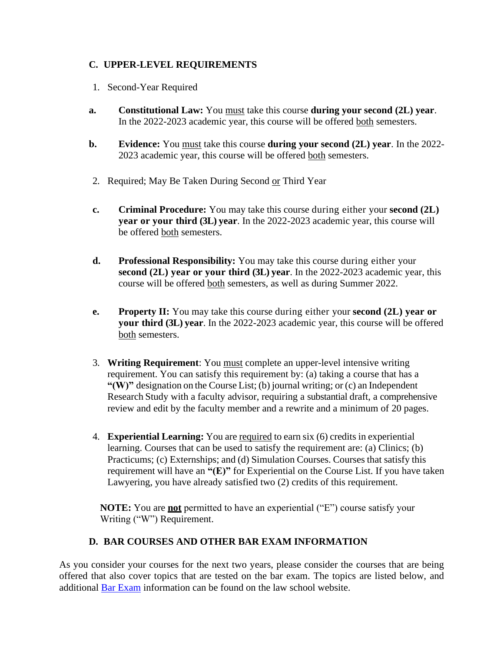## **C. UPPER-LEVEL REQUIREMENTS**

- 1. Second-Year Required
- **a. Constitutional Law:** You must take this course **during your second (2L) year**. In the 2022-2023 academic year, this course will be offered both semesters.
- **b. Evidence:** You must take this course **during your second (2L) year**. In the 2022- 2023 academic year, this course will be offered both semesters.
- 2. Required; May Be Taken During Second or Third Year
- **c. Criminal Procedure:** You may take this course during either your **second (2L) year or your third (3L) year**. In the 2022-2023 academic year, this course will be offered both semesters.
- **d. Professional Responsibility:** You may take this course during either your **second (2L) year or your third (3L) year**. In the 2022-2023 academic year, this course will be offered both semesters, as well as during Summer 2022.
- **e. Property II:** You may take this course during either your **second (2L) year or your third (3L) year**. In the 2022-2023 academic year, this course will be offered both semesters.
- 3. **Writing Requirement**: You must complete an upper-level intensive writing requirement. You can satisfy this requirement by: (a) taking a course that has a **"(W)"** designation on the Course List; (b) journal writing; or (c) an Independent Research Study with a faculty advisor, requiring a substantial draft, a comprehensive review and edit by the faculty member and a rewrite and a minimum of 20 pages.
- 4. **Experiential Learning:** You are required to earn six (6) credits in experiential learning. Courses that can be used to satisfy the requirement are: (a) Clinics; (b) Practicums; (c) Externships; and (d) Simulation Courses. Courses that satisfy this requirement will have an **"(E)"** for Experiential on the Course List. If you have taken Lawyering, you have already satisfied two (2) credits of this requirement.

**NOTE:** You are **not** permitted to have an experiential ("E") course satisfy your Writing ("W") Requirement.

## **D. BAR COURSES AND OTHER BAR EXAM INFORMATION**

As you consider your courses for the next two years, please consider the courses that are being offered that also cover topics that are tested on the bar exam. The topics are listed below, and additional [Bar Exam](https://libraryguides.missouri.edu/barreviewguide) information can be found on the law school website.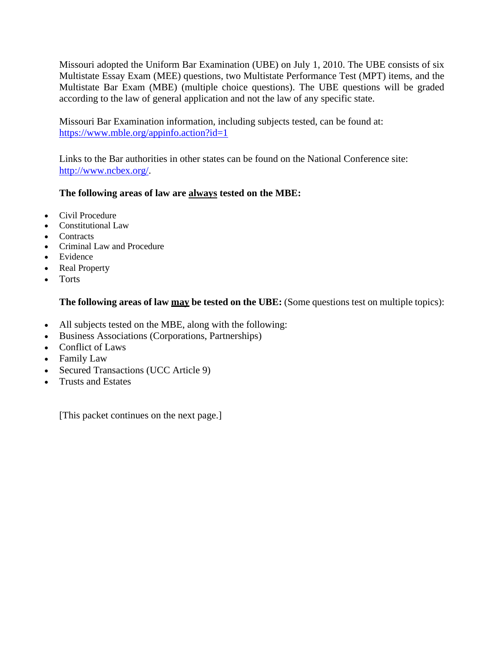Missouri adopted the Uniform Bar Examination (UBE) on July 1, 2010. The UBE consists of six Multistate Essay Exam (MEE) questions, two Multistate Performance Test (MPT) items, and the Multistate Bar Exam (MBE) (multiple choice questions). The UBE questions will be graded according to the law of general application and not the law of any specific state.

Missouri Bar Examination information, including subjects tested, can be found at: <https://www.mble.org/appinfo.action?id=1>

Links to the Bar authorities in other states can be found on the National Conference site: [http://www.ncbex.org/.](http://www.ncbex.org/)

## **The following areas of law are always tested on the MBE:**

- Civil Procedure
- Constitutional Law
- Contracts
- Criminal Law and Procedure
- Evidence
- Real Property
- Torts

#### **The following areas of law may be tested on the UBE:** (Some questions test on multiple topics):

- All subjects tested on the MBE, along with the following:
- Business Associations (Corporations, Partnerships)
- Conflict of Laws
- Family Law
- Secured Transactions (UCC Article 9)
- Trusts and Estates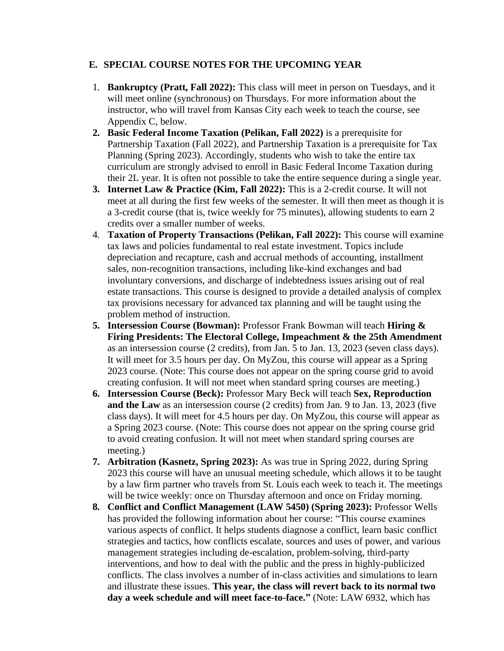#### **E. SPECIAL COURSE NOTES FOR THE UPCOMING YEAR**

- 1. **Bankruptcy (Pratt, Fall 2022):** This class will meet in person on Tuesdays, and it will meet online (synchronous) on Thursdays. For more information about the instructor, who will travel from Kansas City each week to teach the course, see Appendix C, below.
- **2. Basic Federal Income Taxation (Pelikan, Fall 2022)** is a prerequisite for Partnership Taxation (Fall 2022), and Partnership Taxation is a prerequisite for Tax Planning (Spring 2023). Accordingly, students who wish to take the entire tax curriculum are strongly advised to enroll in Basic Federal Income Taxation during their 2L year. It is often not possible to take the entire sequence during a single year.
- **3. Internet Law & Practice (Kim, Fall 2022):** This is a 2-credit course. It will not meet at all during the first few weeks of the semester. It will then meet as though it is a 3-credit course (that is, twice weekly for 75 minutes), allowing students to earn 2 credits over a smaller number of weeks.
- 4. **Taxation of Property Transactions (Pelikan, Fall 2022):** This course will examine tax laws and policies fundamental to real estate investment. Topics include depreciation and recapture, cash and accrual methods of accounting, installment sales, non-recognition transactions, including like-kind exchanges and bad involuntary conversions, and discharge of indebtedness issues arising out of real estate transactions. This course is designed to provide a detailed analysis of complex tax provisions necessary for advanced tax planning and will be taught using the problem method of instruction.
- **5. Intersession Course (Bowman):** Professor Frank Bowman will teach **Hiring & Firing Presidents: The Electoral College, Impeachment & the 25th Amendment** as an intersession course (2 credits), from Jan. 5 to Jan. 13, 2023 (seven class days). It will meet for 3.5 hours per day. On MyZou, this course will appear as a Spring 2023 course. (Note: This course does not appear on the spring course grid to avoid creating confusion. It will not meet when standard spring courses are meeting.)
- **6. Intersession Course (Beck):** Professor Mary Beck will teach **Sex, Reproduction and the Law** as an intersession course (2 credits) from Jan. 9 to Jan. 13, 2023 (five class days). It will meet for 4.5 hours per day. On MyZou, this course will appear as a Spring 2023 course. (Note: This course does not appear on the spring course grid to avoid creating confusion. It will not meet when standard spring courses are meeting.)
- **7. Arbitration (Kasnetz, Spring 2023):** As was true in Spring 2022, during Spring 2023 this course will have an unusual meeting schedule, which allows it to be taught by a law firm partner who travels from St. Louis each week to teach it. The meetings will be twice weekly: once on Thursday afternoon and once on Friday morning.
- **8. Conflict and Conflict Management (LAW 5450) (Spring 2023):** Professor Wells has provided the following information about her course: "This course examines various aspects of conflict. It helps students diagnose a conflict, learn basic conflict strategies and tactics, how conflicts escalate, sources and uses of power, and various management strategies including de-escalation, problem-solving, third-party interventions, and how to deal with the public and the press in highly-publicized conflicts. The class involves a number of in-class activities and simulations to learn and illustrate these issues. **This year, the class will revert back to its normal two day a week schedule and will meet face-to-face."** (Note: LAW 6932, which has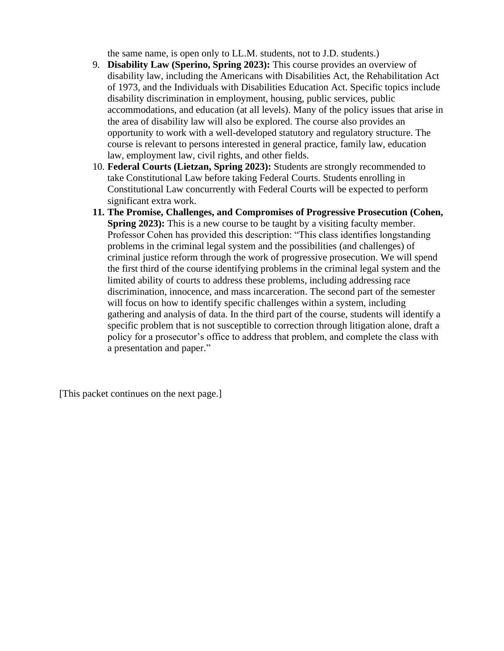the same name, is open only to LL.M. students, not to J.D. students.)

- 9. **Disability Law (Sperino, Spring 2023):** This course provides an overview of disability law, including the Americans with Disabilities Act, the Rehabilitation Act of 1973, and the Individuals with Disabilities Education Act. Specific topics include disability discrimination in employment, housing, public services, public accommodations, and education (at all levels). Many of the policy issues that arise in the area of disability law will also be explored. The course also provides an opportunity to work with a well-developed statutory and regulatory structure. The course is relevant to persons interested in general practice, family law, education law, employment law, civil rights, and other fields.
- 10. **Federal Courts (Lietzan, Spring 2023):** Students are strongly recommended to take Constitutional Law before taking Federal Courts. Students enrolling in Constitutional Law concurrently with Federal Courts will be expected to perform significant extra work.
- **11. The Promise, Challenges, and Compromises of Progressive Prosecution (Cohen, Spring 2023):** This is a new course to be taught by a visiting faculty member. Professor Cohen has provided this description: "This class identifies longstanding problems in the criminal legal system and the possibilities (and challenges) of criminal justice reform through the work of progressive prosecution. We will spend the first third of the course identifying problems in the criminal legal system and the limited ability of courts to address these problems, including addressing race discrimination, innocence, and mass incarceration. The second part of the semester will focus on how to identify specific challenges within a system, including gathering and analysis of data. In the third part of the course, students will identify a specific problem that is not susceptible to correction through litigation alone, draft a policy for a prosecutor's office to address that problem, and complete the class with a presentation and paper."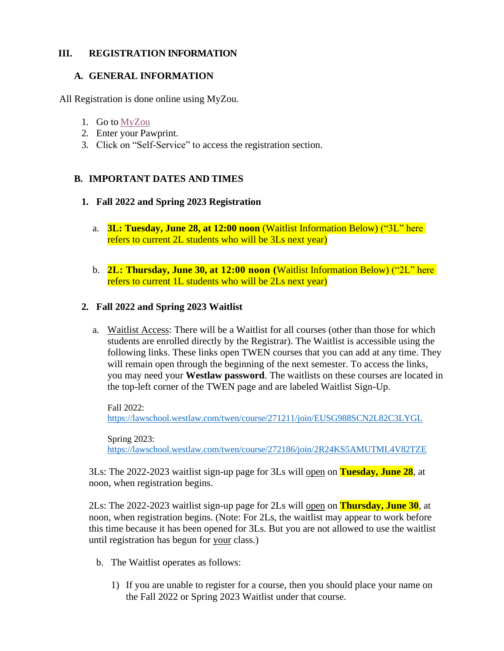#### **III. REGISTRATION INFORMATION**

#### **A. GENERAL INFORMATION**

All Registration is done online using MyZou.

- 1. Go to [MyZou](https://myzou.missouri.edu/psp/csprdc/?cmd=login&languageCd=ENG)
- 2. Enter your Pawprint.
- 3. Click on "Self-Service" to access the registration section.

## **B. IMPORTANT DATES AND TIMES**

#### **1. Fall 2022 and Spring 2023 Registration**

- a. **3L: Tuesday, June 28, at 12:00 noon** (Waitlist Information Below) ("3L" here refers to current 2L students who will be 3Ls next year)
- b. **2L: Thursday, June 30, at 12:00 noon (**Waitlist Information Below) ("2L" here refers to current 1L students who will be 2Ls next year)

## **2. Fall 2022 and Spring 2023 Waitlist**

a. Waitlist Access: There will be a Waitlist for all courses (other than those for which students are enrolled directly by the Registrar). The Waitlist is accessible using the following links. These links open TWEN courses that you can add at any time. They will remain open through the beginning of the next semester. To access the links, you may need your **Westlaw password**. The waitlists on these courses are located in the top-left corner of the TWEN page and are labeled Waitlist Sign-Up.

Fall 2022: <https://lawschool.westlaw.com/twen/course/271211/join/EUSG988SCN2L82C3LYGL>

Spring 2023: <https://lawschool.westlaw.com/twen/course/272186/join/2R24KS5AMUTML4V82TZE>

3Ls: The 2022-2023 waitlist sign-up page for 3Ls will open on **Tuesday, June 28**, at noon, when registration begins.

2Ls: The 2022-2023 waitlist sign-up page for 2Ls will open on **Thursday, June 30**, at noon, when registration begins. (Note: For 2Ls, the waitlist may appear to work before this time because it has been opened for 3Ls. But you are not allowed to use the waitlist until registration has begun for your class.)

- b. The Waitlist operates as follows:
	- 1) If you are unable to register for a course, then you should place your name on the Fall 2022 or Spring 2023 Waitlist under that course.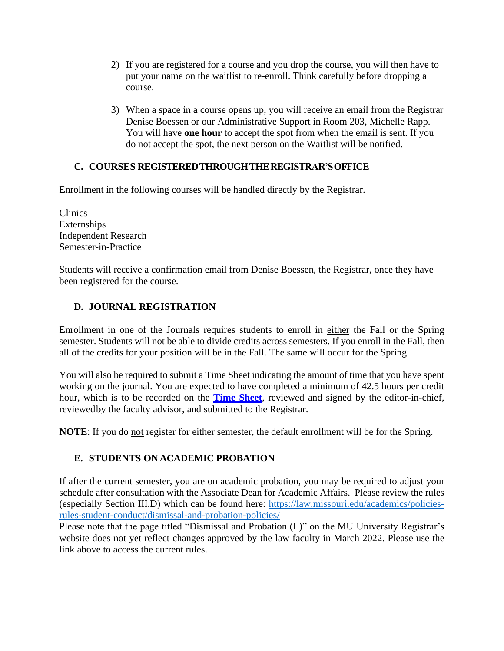- 2) If you are registered for a course and you drop the course, you will then have to put your name on the waitlist to re-enroll. Think carefully before dropping a course.
- 3) When a space in a course opens up, you will receive an email from the Registrar Denise Boessen or our Administrative Support in Room 203, Michelle Rapp. You will have **one hour** to accept the spot from when the email is sent. If you do not accept the spot, the next person on the Waitlist will be notified.

## **C. COURSES REGISTEREDTHROUGHTHEREGISTRAR'SOFFICE**

Enrollment in the following courses will be handled directly by the Registrar.

Clinics Externships Independent Research Semester-in-Practice

Students will receive a confirmation email from Denise Boessen, the Registrar, once they have been registered for the course.

## **D. JOURNAL REGISTRATION**

Enrollment in one of the Journals requires students to enroll in either the Fall or the Spring semester. Students will not be able to divide credits across semesters. If you enroll in the Fall, then all of the credits for your position will be in the Fall. The same will occur for the Spring.

You will also be required to submit a Time Sheet indicating the amount of time that you have spent working on the journal. You are expected to have completed a minimum of 42.5 hours per credit hour, which is to be recorded on the **[Time Sheet](https://law.missouri.edu/wp-content/uploads/2019/06/Time-Sheet-Form-General.pdf)**, reviewed and signed by the editor-in-chief, reviewedby the faculty advisor, and submitted to the Registrar.

**NOTE**: If you do not register for either semester, the default enrollment will be for the Spring.

## **E. STUDENTS ON ACADEMIC PROBATION**

If after the current semester, you are on academic probation, you may be required to adjust your schedule after consultation with the Associate Dean for Academic Affairs. Please review the rules (especially Section III.D) which can be found here: [https://law.missouri.edu/academics/policies](https://law.missouri.edu/academics/policies-rules-student-conduct/dismissal-and-probation-policies/)[rules-student-conduct/dismissal-and-probation-policies/](https://law.missouri.edu/academics/policies-rules-student-conduct/dismissal-and-probation-policies/)

Please note that the page titled "Dismissal and Probation (L)" on the MU University Registrar's website does not yet reflect changes approved by the law faculty in March 2022. Please use the link above to access the current rules.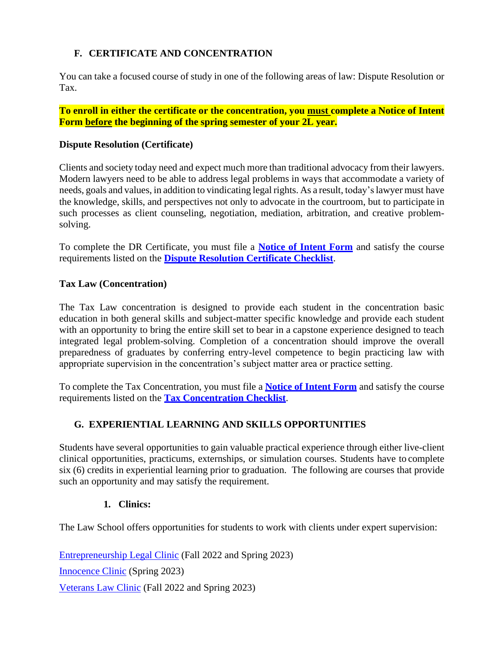## **F. CERTIFICATE AND CONCENTRATION**

You can take a focused course of study in one of the following areas of law: Dispute Resolution or Tax.

**To enroll in either the certificate or the concentration, you must complete a Notice of Intent Form before the beginning of the spring semester of your 2L year.**

#### **Dispute Resolution (Certificate)**

Clients and society today need and expect much more than traditional advocacy from their lawyers. Modern lawyers need to be able to address legal problems in ways that accommodate a variety of needs, goals and values, in addition to vindicating legal rights. As a result, today'slawyer must have the knowledge, skills, and perspectives not only to advocate in the courtroom, but to participate in such processes as client counseling, negotiation, mediation, arbitration, and creative problemsolving.

To complete the DR Certificate, you must file a **[Notice of Intent Form](https://law.missouri.edu/wp-content/uploads/2019/06/dr-interest-form.pdf)** and satisfy the course requirements listed on the **[Dispute Resolution Certificate Checklist](https://law.missouri.edu/wp-content/uploads/2019/06/Dispute-Resolution-Certificate-Checklist.-Feb-2019.pdf)**.

#### **Tax Law (Concentration)**

The Tax Law concentration is designed to provide each student in the concentration basic education in both general skills and subject-matter specific knowledge and provide each student with an opportunity to bring the entire skill set to bear in a capstone experience designed to teach integrated legal problem-solving. Completion of a concentration should improve the overall preparedness of graduates by conferring entry-level competence to begin practicing law with appropriate supervision in the concentration's subject matter area or practice setting.

To complete the Tax Concentration, you must file a **[Notice](https://law.missouri.edu/wp-content/uploads/2019/08/Tax-Concentration-Notice-of-Intent.pdf) of Intent Form** and satisfy the course requirements listed on the **[Tax Concentration](https://law.missouri.edu/wp-content/uploads/2019/06/Tax-Concentration-Course-Requirements-Amended-and-Approved-March-15-2019sdm-formatting-edits-4-28-19.pdf) Checklist**.

## **G. EXPERIENTIAL LEARNING AND SKILLS OPPORTUNITIES**

Students have several opportunities to gain valuable practical experience through either live-client clinical opportunities, practicums, externships, or simulation courses. Students have to complete six (6) credits in experiential learning prior to graduation. The following are courses that provide such an opportunity and may satisfy the requirement.

## **1. Clinics:**

The Law School offers opportunities for students to work with clients under expert supervision:

[Entrepreneurship Legal Clinic](https://law.missouri.edu/elc/) (Fall 2022 and Spring 2023) [Innocence Clinic](https://law.missouri.edu/innocence-clinic/) (Spring 2023) [Veterans Law Clinic](https://law.missouri.edu/veterans-clinic/) (Fall 2022 and Spring 2023)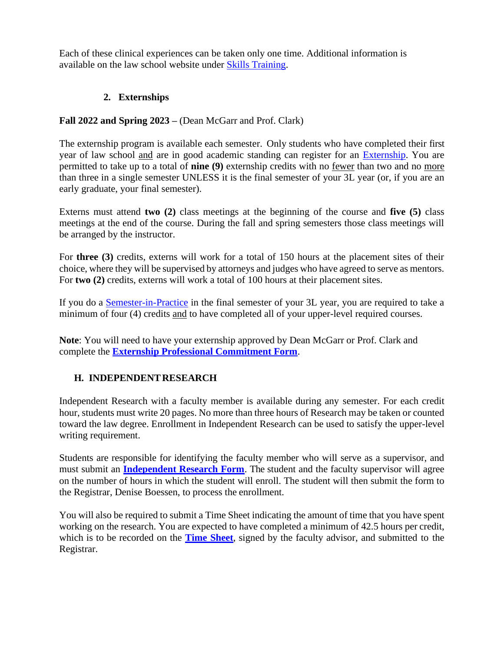Each of these clinical experiences can be taken only one time. Additional information is available on the law school website under [Skills Training.](https://law.missouri.edu/academics/clinics/)

## **2. Externships**

## **Fall 2022 and Spring 2023 –** (Dean McGarr and Prof. Clark)

The externship program is available each semester. Only students who have completed their first year of law school and are in good academic standing can register for an [Externship.](https://law.missouri.edu/externship-program/) You are permitted to take up to a total of **nine (9)** externship credits with no fewer than two and no more than three in a single semester UNLESS it is the final semester of your 3L year (or, if you are an early graduate, your final semester).

Externs must attend **two (2)** class meetings at the beginning of the course and **five (5)** class meetings at the end of the course. During the fall and spring semesters those class meetings will be arranged by the instructor.

For **three (3)** credits, externs will work for a total of 150 hours at the placement sites of their choice, where they will be supervised by attorneys and judges who have agreed to serve as mentors. For **two (2)** credits, externs will work a total of 100 hours at their placement sites.

If you do a [Semester-in-Practice](https://law.missouri.edu/academics/clinics/) in the final semester of your 3L year, you are required to take a minimum of four (4) credits and to have completed all of your upper-level required courses.

**Note**: You will need to have your externship approved by Dean McGarr or Prof. Clark and complete the **[Externship Professional Commitment Form](https://law.missouri.edu/wp-content/uploads/2021/03/Externship-Professional-Commitment-Form-3-2021.pdf)**.

## **H. INDEPENDENTRESEARCH**

Independent Research with a faculty member is available during any semester. For each credit hour, students must write 20 pages. No more than three hours of Research may be taken or counted toward the law degree. Enrollment in Independent Research can be used to satisfy the upper-level writing requirement.

Students are responsible for identifying the faculty member who will serve as a supervisor, and must submit an **[Independent Research Form](https://law.missouri.edu/wp-content/uploads/2019/06/Independent-Research-Course-Approval-Form.pdf)**. The student and the faculty supervisor will agree on the number of hours in which the student will enroll. The student will then submit the form to the Registrar, Denise Boessen, to process the enrollment.

You will also be required to submit a Time Sheet indicating the amount of time that you have spent working on the research. You are expected to have completed a minimum of 42.5 hours per credit, which is to be recorded on the **Time [Sheet](https://law.missouri.edu/wp-content/uploads/2019/06/Time-Sheet-Form-General.pdf)**, signed by the faculty advisor, and submitted to the Registrar.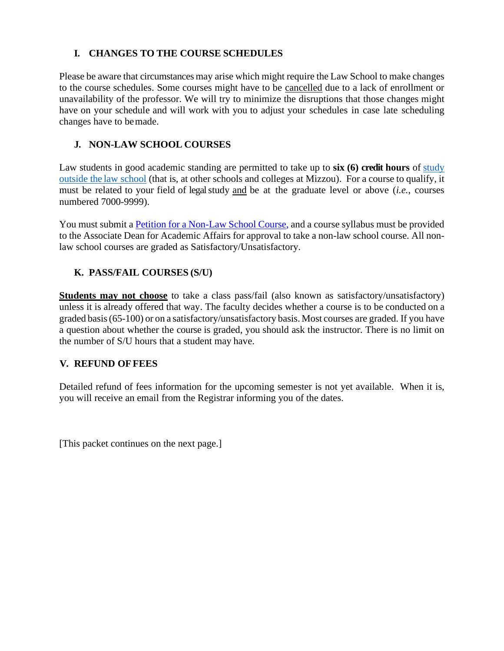## **I. CHANGES TO THE COURSE SCHEDULES**

Please be aware that circumstances may arise which might require the Law School to make changes to the course schedules. Some courses might have to be cancelled due to a lack of enrollment or unavailability of the professor. We will try to minimize the disruptions that those changes might have on your schedule and will work with you to adjust your schedules in case late scheduling changes have to bemade.

## **J. NON-LAW SCHOOL COURSES**

Law students in good academic standing are permitted to take up to **six (6) credit hours** of [study](http://catalog.missouri.edu/academicpolicies/creditfornonlawcoursesl/) [outside](http://catalog.missouri.edu/academicpolicies/creditfornonlawcoursesl/) the law school (that is, at other schools and colleges at Mizzou). For a course to qualify, it must be related to your field of legalstudy and be at the graduate level or above (*i.e.*, courses numbered 7000-9999).

You must submit [a Petition for a Non-Law School Course,](https://law.missouri.edu/wp-content/uploads/2019/06/3-17-16-outsidelawform.pdf) and a course syllabus must be provided to the Associate Dean for Academic Affairs for approval to take a non-law school course. All nonlaw school courses are graded as Satisfactory/Unsatisfactory.

## **K. PASS/FAIL COURSES (S/U)**

**Students may not choose** to take a class pass/fail (also known as satisfactory/unsatisfactory) unless it is already offered that way. The faculty decides whether a course is to be conducted on a graded basis(65-100) or on a satisfactory/unsatisfactory basis. Most courses are graded. If you have a question about whether the course is graded, you should ask the instructor. There is no limit on the number of S/U hours that a student may have.

## **V. REFUND OFFEES**

Detailed refund of fees information for the upcoming semester is not yet available. When it is, you will receive an email from the Registrar informing you of the dates.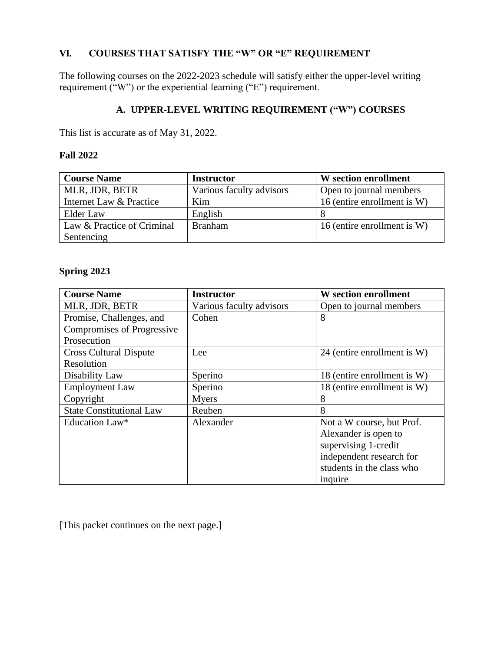## **VI. COURSES THAT SATISFY THE "W" OR "E" REQUIREMENT**

The following courses on the 2022-2023 schedule will satisfy either the upper-level writing requirement ("W") or the experiential learning ("E") requirement.

## **A. UPPER-LEVEL WRITING REQUIREMENT ("W") COURSES**

This list is accurate as of May 31, 2022.

#### **Fall 2022**

| <b>Course Name</b>         | <b>Instructor</b>        | W section enrollment        |
|----------------------------|--------------------------|-----------------------------|
| MLR, JDR, BETR             | Various faculty advisors | Open to journal members     |
| Internet Law & Practice    | Kim                      | 16 (entire enrollment is W) |
| Elder Law                  | English                  |                             |
| Law & Practice of Criminal | <b>Branham</b>           | 16 (entire enrollment is W) |
| Sentencing                 |                          |                             |

### **Spring 2023**

| <b>Course Name</b>              | <b>Instructor</b>        | <b>W</b> section enrollment |
|---------------------------------|--------------------------|-----------------------------|
| MLR, JDR, BETR                  | Various faculty advisors | Open to journal members     |
| Promise, Challenges, and        | Cohen                    | 8                           |
| Compromises of Progressive      |                          |                             |
| Prosecution                     |                          |                             |
| <b>Cross Cultural Dispute</b>   | Lee                      | 24 (entire enrollment is W) |
| Resolution                      |                          |                             |
| Disability Law                  | Sperino                  | 18 (entire enrollment is W) |
| <b>Employment Law</b>           | Sperino                  | 18 (entire enrollment is W) |
| Copyright                       | <b>Myers</b>             | 8                           |
| <b>State Constitutional Law</b> | Reuben                   | 8                           |
| Education Law*                  | Alexander                | Not a W course, but Prof.   |
|                                 |                          | Alexander is open to        |
|                                 |                          | supervising 1-credit        |
|                                 |                          | independent research for    |
|                                 |                          | students in the class who   |
|                                 |                          | inquire                     |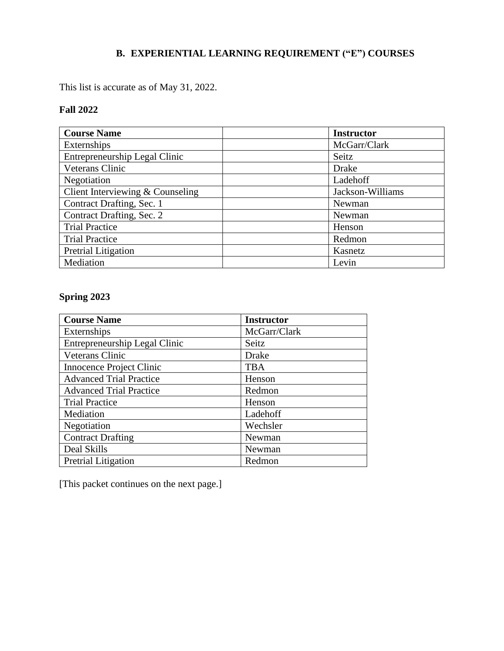## **B. EXPERIENTIAL LEARNING REQUIREMENT ("E") COURSES**

This list is accurate as of May 31, 2022.

## **Fall 2022**

| <b>Course Name</b>               | <b>Instructor</b> |
|----------------------------------|-------------------|
| Externships                      | McGarr/Clark      |
| Entrepreneurship Legal Clinic    | Seitz             |
| Veterans Clinic                  | Drake             |
| Negotiation                      | Ladehoff          |
| Client Interviewing & Counseling | Jackson-Williams  |
| Contract Drafting, Sec. 1        | Newman            |
| Contract Drafting, Sec. 2        | Newman            |
| <b>Trial Practice</b>            | Henson            |
| <b>Trial Practice</b>            | Redmon            |
| Pretrial Litigation              | Kasnetz           |
| Mediation                        | Levin             |

# **Spring 2023**

| <b>Course Name</b>             | <b>Instructor</b> |
|--------------------------------|-------------------|
| Externships                    | McGarr/Clark      |
| Entrepreneurship Legal Clinic  | Seitz             |
| Veterans Clinic                | Drake             |
| Innocence Project Clinic       | <b>TBA</b>        |
| <b>Advanced Trial Practice</b> | Henson            |
| <b>Advanced Trial Practice</b> | Redmon            |
| <b>Trial Practice</b>          | Henson            |
| Mediation                      | Ladehoff          |
| Negotiation                    | Wechsler          |
| <b>Contract Drafting</b>       | Newman            |
| Deal Skills                    | Newman            |
| Pretrial Litigation            | Redmon            |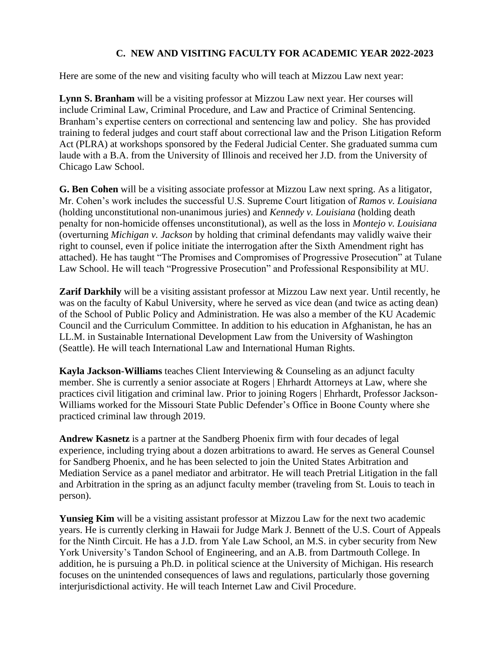## **C. NEW AND VISITING FACULTY FOR ACADEMIC YEAR 2022-2023**

Here are some of the new and visiting faculty who will teach at Mizzou Law next year:

**Lynn S. Branham** will be a visiting professor at Mizzou Law next year. Her courses will include Criminal Law, Criminal Procedure, and Law and Practice of Criminal Sentencing. Branham's expertise centers on correctional and sentencing law and policy. She has provided training to federal judges and court staff about correctional law and the Prison Litigation Reform Act (PLRA) at workshops sponsored by the Federal Judicial Center. She graduated summa cum laude with a B.A. from the University of Illinois and received her J.D. from the University of Chicago Law School.

**G. Ben Cohen** will be a visiting associate professor at Mizzou Law next spring. As a litigator, Mr. Cohen's work includes the successful U.S. Supreme Court litigation of *Ramos v. Louisiana* (holding unconstitutional non-unanimous juries) and *Kennedy v. Louisiana* (holding death penalty for non-homicide offenses unconstitutional), as well as the loss in *Montejo v. Louisiana* (overturning *Michigan v. Jackson* by holding that criminal defendants may validly waive their right to counsel, even if police initiate the interrogation after the Sixth Amendment right has attached). He has taught "The Promises and Compromises of Progressive Prosecution" at Tulane Law School. He will teach "Progressive Prosecution" and Professional Responsibility at MU.

**Zarif Darkhily** will be a visiting assistant professor at Mizzou Law next year. Until recently, he was on the faculty of Kabul University, where he served as vice dean (and twice as acting dean) of the School of Public Policy and Administration. He was also a member of the KU Academic Council and the Curriculum Committee. In addition to his education in Afghanistan, he has an LL.M. in Sustainable International Development Law from the University of Washington (Seattle). He will teach International Law and International Human Rights.

**Kayla Jackson-Williams** teaches Client Interviewing & Counseling as an adjunct faculty member. She is currently a senior associate at Rogers | Ehrhardt Attorneys at Law, where she practices civil litigation and criminal law. Prior to joining Rogers | Ehrhardt, Professor Jackson-Williams worked for the Missouri State Public Defender's Office in Boone County where she practiced criminal law through 2019.

**Andrew Kasnetz** is a partner at the Sandberg Phoenix firm with four decades of legal experience, including trying about a dozen arbitrations to award. He serves as General Counsel for Sandberg Phoenix, and he has been selected to join the United States Arbitration and Mediation Service as a panel mediator and arbitrator. He will teach Pretrial Litigation in the fall and Arbitration in the spring as an adjunct faculty member (traveling from St. Louis to teach in person).

**Yunsieg Kim** will be a visiting assistant professor at Mizzou Law for the next two academic years. He is currently clerking in Hawaii for Judge Mark J. Bennett of the U.S. Court of Appeals for the Ninth Circuit. He has a J.D. from Yale Law School, an M.S. in cyber security from New York University's Tandon School of Engineering, and an A.B. from Dartmouth College. In addition, he is pursuing a Ph.D. in political science at the University of Michigan. His research focuses on the unintended consequences of laws and regulations, particularly those governing interjurisdictional activity. He will teach Internet Law and Civil Procedure.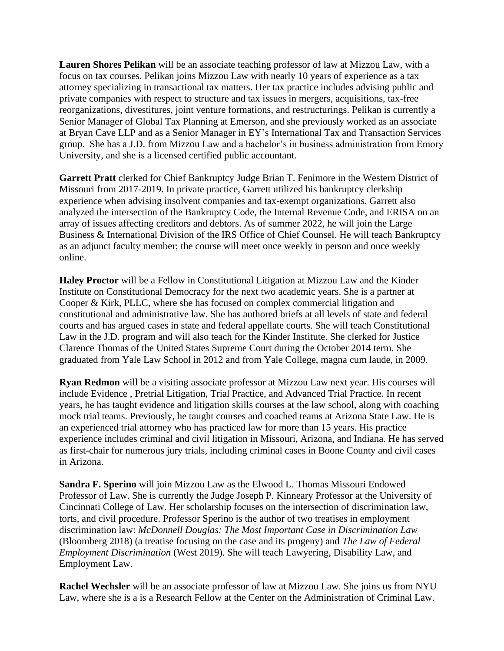**Lauren Shores Pelikan** will be an associate teaching professor of law at Mizzou Law, with a focus on tax courses. Pelikan joins Mizzou Law with nearly 10 years of experience as a tax attorney specializing in transactional tax matters. Her tax practice includes advising public and private companies with respect to structure and tax issues in mergers, acquisitions, tax-free reorganizations, divestitures, joint venture formations, and restructurings. Pelikan is currently a Senior Manager of Global Tax Planning at Emerson, and she previously worked as an associate at Bryan Cave LLP and as a Senior Manager in EY's International Tax and Transaction Services group. She has a J.D. from Mizzou Law and a bachelor's in business administration from Emory University, and she is a licensed certified public accountant.

**Garrett Pratt** clerked for Chief Bankruptcy Judge Brian T. Fenimore in the Western District of Missouri from 2017-2019. In private practice, Garrett utilized his bankruptcy clerkship experience when advising insolvent companies and tax-exempt organizations. Garrett also analyzed the intersection of the Bankruptcy Code, the Internal Revenue Code, and ERISA on an array of issues affecting creditors and debtors. As of summer 2022, he will join the Large Business & International Division of the IRS Office of Chief Counsel. He will teach Bankruptcy as an adjunct faculty member; the course will meet once weekly in person and once weekly online.

**Haley Proctor** will be a Fellow in Constitutional Litigation at Mizzou Law and the Kinder Institute on Constitutional Democracy for the next two academic years. She is a partner at Cooper & Kirk, PLLC, where she has focused on complex commercial litigation and constitutional and administrative law. She has authored briefs at all levels of state and federal courts and has argued cases in state and federal appellate courts. She will teach Constitutional Law in the J.D. program and will also teach for the Kinder Institute. She clerked for Justice Clarence Thomas of the United States Supreme Court during the October 2014 term. She graduated from Yale Law School in 2012 and from Yale College, magna cum laude, in 2009.

**Ryan Redmon** will be a visiting associate professor at Mizzou Law next year. His courses will include Evidence , Pretrial Litigation, Trial Practice, and Advanced Trial Practice. In recent years, he has taught evidence and litigation skills courses at the law school, along with coaching mock trial teams. Previously, he taught courses and coached teams at Arizona State Law. He is an experienced trial attorney who has practiced law for more than 15 years. His practice experience includes criminal and civil litigation in Missouri, Arizona, and Indiana. He has served as first-chair for numerous jury trials, including criminal cases in Boone County and civil cases in Arizona.

**Sandra F. Sperino** will join Mizzou Law as the Elwood L. Thomas Missouri Endowed Professor of Law. She is currently the Judge Joseph P. Kinneary Professor at the University of Cincinnati College of Law. Her scholarship focuses on the intersection of discrimination law, torts, and civil procedure. Professor Sperino is the author of two treatises in employment discrimination law: *McDonnell Douglas: The Most Important Case in Discrimination Law* (Bloomberg 2018) (a treatise focusing on the case and its progeny) and *The Law of Federal Employment Discrimination* (West 2019). She will teach Lawyering, Disability Law, and Employment Law.

**Rachel Wechsler** will be an associate professor of law at Mizzou Law. She joins us from NYU Law, where she is a is a Research Fellow at the Center on the Administration of Criminal Law.